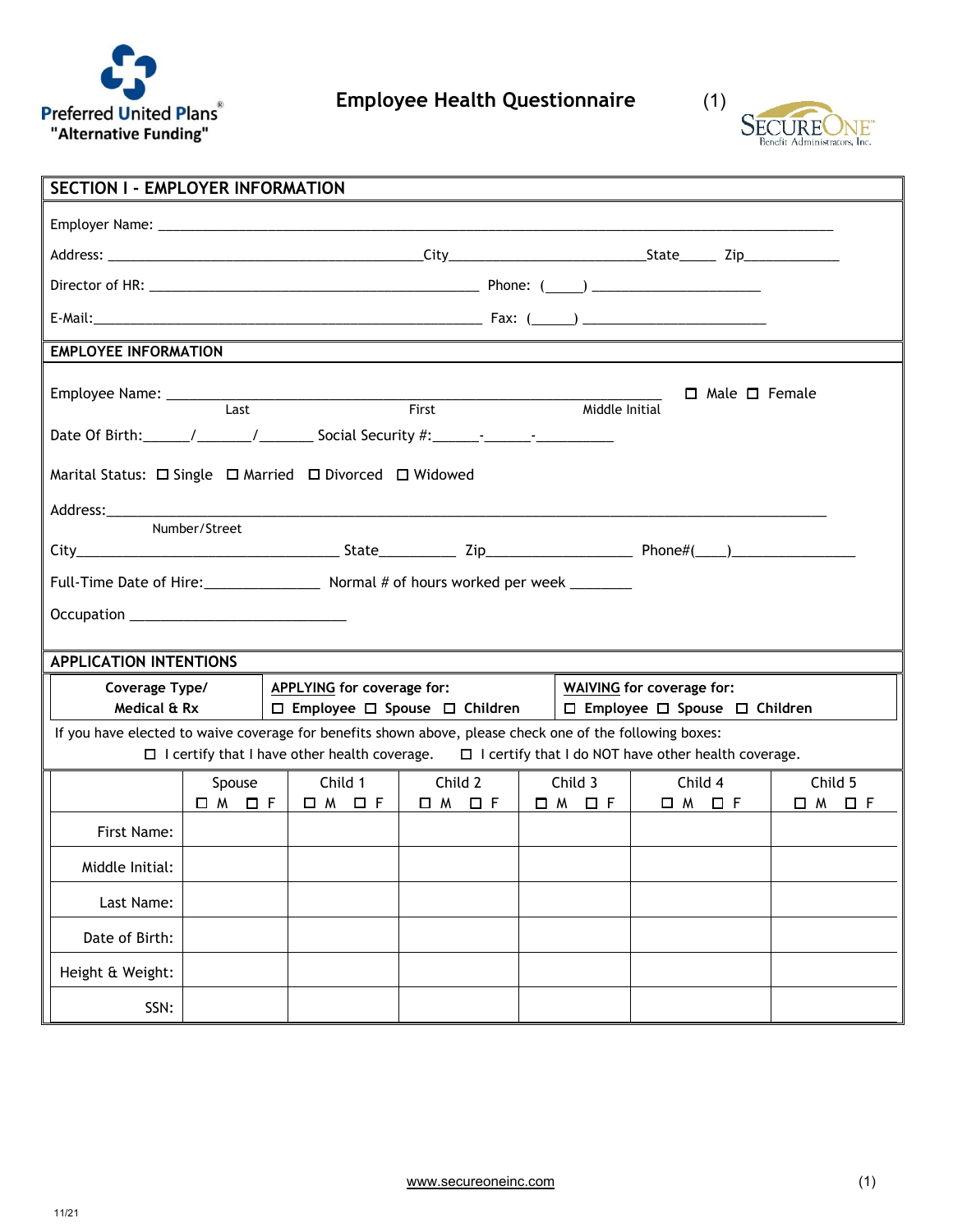



| <b>SECTION I - EMPLOYER INFORMATION</b>                                                                                                                                                                                    |                                                         |                                   |                                               |                                                                                   |         |                             |  |  |
|----------------------------------------------------------------------------------------------------------------------------------------------------------------------------------------------------------------------------|---------------------------------------------------------|-----------------------------------|-----------------------------------------------|-----------------------------------------------------------------------------------|---------|-----------------------------|--|--|
|                                                                                                                                                                                                                            |                                                         |                                   |                                               |                                                                                   |         |                             |  |  |
|                                                                                                                                                                                                                            |                                                         |                                   |                                               |                                                                                   |         |                             |  |  |
|                                                                                                                                                                                                                            |                                                         |                                   |                                               |                                                                                   |         |                             |  |  |
|                                                                                                                                                                                                                            |                                                         |                                   |                                               |                                                                                   |         |                             |  |  |
| <b>EMPLOYEE INFORMATION</b>                                                                                                                                                                                                |                                                         |                                   |                                               |                                                                                   |         |                             |  |  |
| Employee Name: Last<br>$\Box$ Male $\Box$ Female<br><b>First</b><br>Middle Initial                                                                                                                                         |                                                         |                                   |                                               |                                                                                   |         |                             |  |  |
|                                                                                                                                                                                                                            |                                                         |                                   |                                               |                                                                                   |         |                             |  |  |
|                                                                                                                                                                                                                            | Marital Status: □ Single □ Married □ Divorced □ Widowed |                                   |                                               |                                                                                   |         |                             |  |  |
|                                                                                                                                                                                                                            | Number/Street                                           |                                   |                                               |                                                                                   |         |                             |  |  |
|                                                                                                                                                                                                                            |                                                         |                                   |                                               |                                                                                   |         |                             |  |  |
|                                                                                                                                                                                                                            |                                                         |                                   |                                               |                                                                                   |         |                             |  |  |
|                                                                                                                                                                                                                            |                                                         |                                   |                                               |                                                                                   |         |                             |  |  |
|                                                                                                                                                                                                                            |                                                         |                                   |                                               |                                                                                   |         |                             |  |  |
| <b>APPLICATION INTENTIONS</b>                                                                                                                                                                                              |                                                         | <b>APPLYING</b> for coverage for: |                                               |                                                                                   |         |                             |  |  |
| Coverage Type/<br>Medical & Rx                                                                                                                                                                                             |                                                         |                                   | $\Box$ Employee $\Box$ Spouse $\Box$ Children | <b>WAIVING</b> for coverage for:<br>$\Box$ Employee $\Box$ Spouse $\Box$ Children |         |                             |  |  |
| If you have elected to waive coverage for benefits shown above, please check one of the following boxes:<br>$\Box$ I certify that I have other health coverage. $\Box$ I certify that I do NOT have other health coverage. |                                                         |                                   |                                               |                                                                                   |         |                             |  |  |
|                                                                                                                                                                                                                            | Spouse                                                  | Child 1                           | Child 2                                       | Child 3                                                                           | Child 4 | Child 5                     |  |  |
| First Name:                                                                                                                                                                                                                | <b>OM OF</b>                                            |                                   | O M O F   O M O F   O M O F                   |                                                                                   | □ M □ F | $\square$ $M$ $\square$ $F$ |  |  |
|                                                                                                                                                                                                                            |                                                         |                                   |                                               |                                                                                   |         |                             |  |  |
| Middle Initial:                                                                                                                                                                                                            |                                                         |                                   |                                               |                                                                                   |         |                             |  |  |
| Last Name:                                                                                                                                                                                                                 |                                                         |                                   |                                               |                                                                                   |         |                             |  |  |
| Date of Birth:                                                                                                                                                                                                             |                                                         |                                   |                                               |                                                                                   |         |                             |  |  |
| Height & Weight:                                                                                                                                                                                                           |                                                         |                                   |                                               |                                                                                   |         |                             |  |  |
| SSN:                                                                                                                                                                                                                       |                                                         |                                   |                                               |                                                                                   |         |                             |  |  |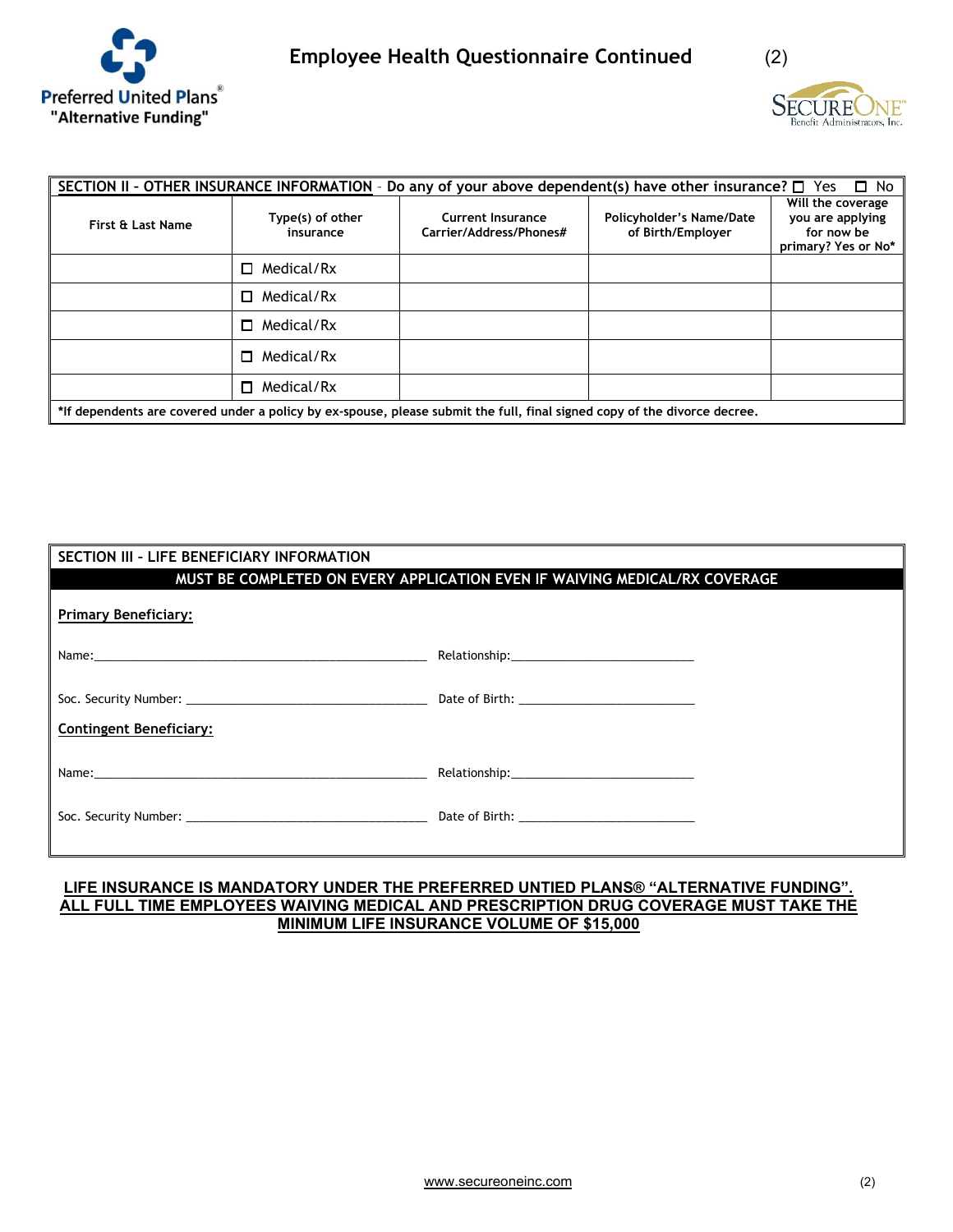



| SECTION II - OTHER INSURANCE INFORMATION - Do any of your above dependent(s) have other insurance? $\square$ Yes<br>⊟ No |                               |                                              |                                               |                                                                            |  |  |  |
|--------------------------------------------------------------------------------------------------------------------------|-------------------------------|----------------------------------------------|-----------------------------------------------|----------------------------------------------------------------------------|--|--|--|
| First & Last Name                                                                                                        | Type(s) of other<br>insurance | Current Insurance<br>Carrier/Address/Phones# | Policyholder's Name/Date<br>of Birth/Employer | Will the coverage<br>you are applying<br>for now be<br>primary? Yes or No* |  |  |  |
|                                                                                                                          | Medical/Rx<br>п               |                                              |                                               |                                                                            |  |  |  |
|                                                                                                                          | Medical/Rx<br>□               |                                              |                                               |                                                                            |  |  |  |
|                                                                                                                          | Medical/Rx<br>n.              |                                              |                                               |                                                                            |  |  |  |
|                                                                                                                          | Medical/Rx<br>П.              |                                              |                                               |                                                                            |  |  |  |
|                                                                                                                          | Medical/Rx<br>$\Box$          |                                              |                                               |                                                                            |  |  |  |
| *If dependents are covered under a policy by ex-spouse, please submit the full, final signed copy of the divorce decree. |                               |                                              |                                               |                                                                            |  |  |  |

| SECTION III - LIFE BENEFICIARY INFORMATION                                                                                                                                                                                     |                                                                            |  |  |  |  |
|--------------------------------------------------------------------------------------------------------------------------------------------------------------------------------------------------------------------------------|----------------------------------------------------------------------------|--|--|--|--|
|                                                                                                                                                                                                                                | MUST BE COMPLETED ON EVERY APPLICATION EVEN IF WAIVING MEDICAL/RX COVERAGE |  |  |  |  |
| <b>Primary Beneficiary:</b>                                                                                                                                                                                                    |                                                                            |  |  |  |  |
|                                                                                                                                                                                                                                |                                                                            |  |  |  |  |
| <b>Contingent Beneficiary:</b>                                                                                                                                                                                                 |                                                                            |  |  |  |  |
| Name: when the contract of the contract of the contract of the contract of the contract of the contract of the contract of the contract of the contract of the contract of the contract of the contract of the contract of the |                                                                            |  |  |  |  |
|                                                                                                                                                                                                                                |                                                                            |  |  |  |  |

## **LIFE INSURANCE IS MANDATORY UNDER THE PREFERRED UNTIED PLANS® "ALTERNATIVE FUNDING". ALL FULL TIME EMPLOYEES WAIVING MEDICAL AND PRESCRIPTION DRUG COVERAGE MUST TAKE THE MINIMUM LIFE INSURANCE VOLUME OF \$15,000**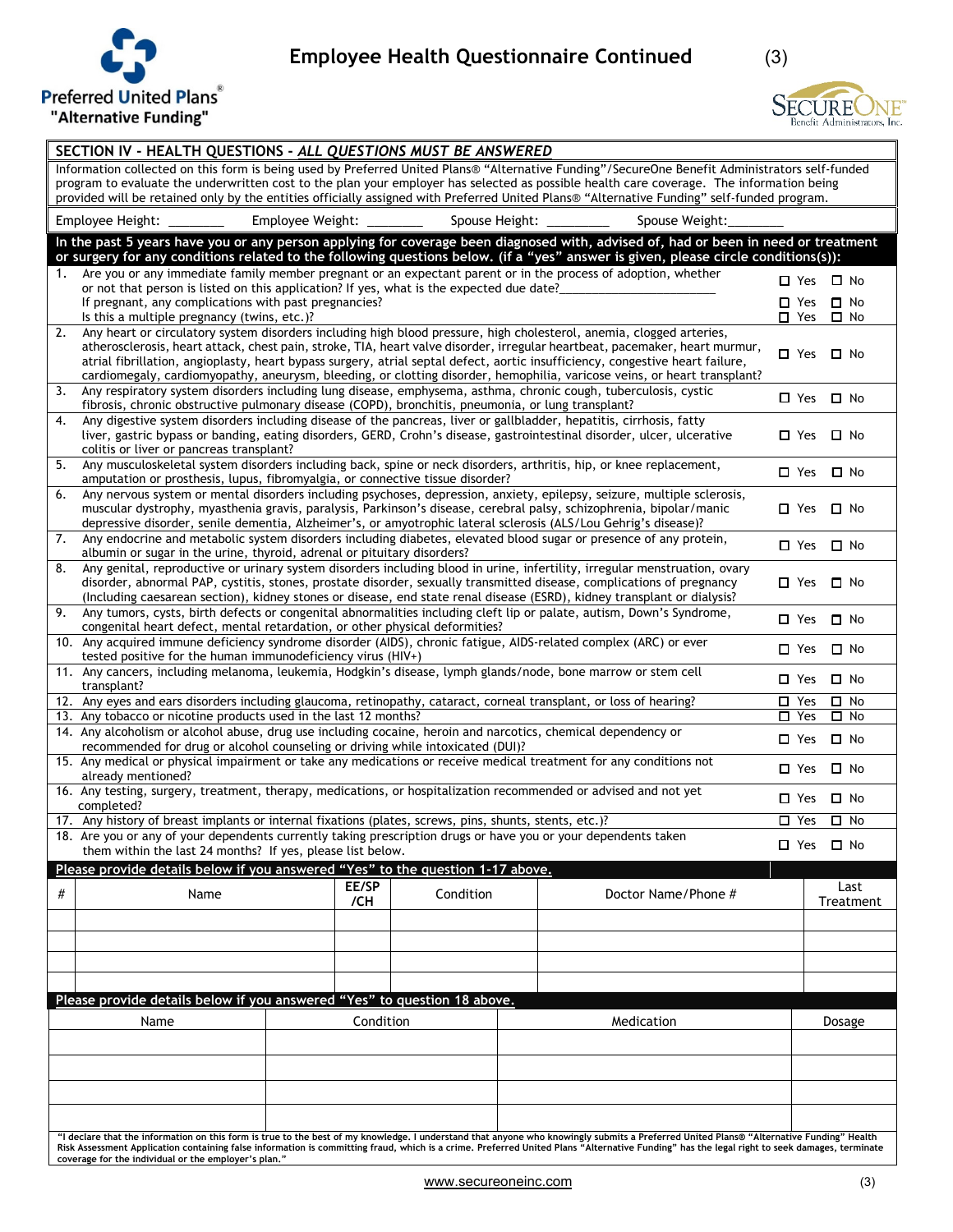

## **Employee Health Questionnaire Continued** (3)

**SECURE** VE' Benefit Administrators, Inc.

| SECTION IV - HEALTH QUESTIONS - ALL QUESTIONS MUST BE ANSWERED                                                                                                                                                                                                                                                                                                                                                                           |                                                                                                                                                                                                                                                                                                                                                                                                                                                                                                                  |           |           |                          |                     |            |                                |                           |           |
|------------------------------------------------------------------------------------------------------------------------------------------------------------------------------------------------------------------------------------------------------------------------------------------------------------------------------------------------------------------------------------------------------------------------------------------|------------------------------------------------------------------------------------------------------------------------------------------------------------------------------------------------------------------------------------------------------------------------------------------------------------------------------------------------------------------------------------------------------------------------------------------------------------------------------------------------------------------|-----------|-----------|--------------------------|---------------------|------------|--------------------------------|---------------------------|-----------|
| Information collected on this form is being used by Preferred United Plans® "Alternative Funding"/SecureOne Benefit Administrators self-funded<br>program to evaluate the underwritten cost to the plan your employer has selected as possible health care coverage. The information being<br>provided will be retained only by the entities officially assigned with Preferred United Plans® "Alternative Funding" self-funded program. |                                                                                                                                                                                                                                                                                                                                                                                                                                                                                                                  |           |           |                          |                     |            |                                |                           |           |
|                                                                                                                                                                                                                                                                                                                                                                                                                                          | Employee Weight: ________<br>Employee Height:                                                                                                                                                                                                                                                                                                                                                                                                                                                                    |           |           | Spouse Height: _________ | Spouse Weight:      |            |                                |                           |           |
|                                                                                                                                                                                                                                                                                                                                                                                                                                          | In the past 5 years have you or any person applying for coverage been diagnosed with, advised of, had or been in need or treatment<br>or surgery for any conditions related to the following questions below. (if a "yes" answer is given, please circle conditions(s)):                                                                                                                                                                                                                                         |           |           |                          |                     |            |                                |                           |           |
|                                                                                                                                                                                                                                                                                                                                                                                                                                          | 1. Are you or any immediate family member pregnant or an expectant parent or in the process of adoption, whether<br>or not that person is listed on this application? If yes, what is the expected due date?                                                                                                                                                                                                                                                                                                     |           |           |                          |                     |            | $\square$ Yes                  | $\square$ No              |           |
|                                                                                                                                                                                                                                                                                                                                                                                                                                          | If pregnant, any complications with past pregnancies?<br>Is this a multiple pregnancy (twins, etc.)?                                                                                                                                                                                                                                                                                                                                                                                                             |           |           |                          |                     |            | $\square$ Yes<br>$\square$ Yes | $\Box$ No<br>$\square$ No |           |
| 2.                                                                                                                                                                                                                                                                                                                                                                                                                                       | Any heart or circulatory system disorders including high blood pressure, high cholesterol, anemia, clogged arteries,<br>atherosclerosis, heart attack, chest pain, stroke, TIA, heart valve disorder, irregular heartbeat, pacemaker, heart murmur,<br>atrial fibrillation, angioplasty, heart bypass surgery, atrial septal defect, aortic insufficiency, congestive heart failure,<br>cardiomegaly, cardiomyopathy, aneurysm, bleeding, or clotting disorder, hemophilia, varicose veins, or heart transplant? |           |           |                          |                     |            | $\Box$ Yes                     | $\Box$ No                 |           |
| 3.                                                                                                                                                                                                                                                                                                                                                                                                                                       | Any respiratory system disorders including lung disease, emphysema, asthma, chronic cough, tuberculosis, cystic<br>fibrosis, chronic obstructive pulmonary disease (COPD), bronchitis, pneumonia, or lung transplant?                                                                                                                                                                                                                                                                                            |           |           |                          |                     |            | □ Yes □ No                     |                           |           |
| 4.                                                                                                                                                                                                                                                                                                                                                                                                                                       | Any digestive system disorders including disease of the pancreas, liver or gallbladder, hepatitis, cirrhosis, fatty<br>liver, gastric bypass or banding, eating disorders, GERD, Crohn's disease, gastrointestinal disorder, ulcer, ulcerative<br>colitis or liver or pancreas transplant?                                                                                                                                                                                                                       |           |           |                          |                     |            | $\square$ Yes $\square$ No     |                           |           |
| 5.                                                                                                                                                                                                                                                                                                                                                                                                                                       | Any musculoskeletal system disorders including back, spine or neck disorders, arthritis, hip, or knee replacement,                                                                                                                                                                                                                                                                                                                                                                                               |           |           |                          |                     |            | □ Yes □ No                     |                           |           |
| 6.                                                                                                                                                                                                                                                                                                                                                                                                                                       | amputation or prosthesis, lupus, fibromyalgia, or connective tissue disorder?<br>Any nervous system or mental disorders including psychoses, depression, anxiety, epilepsy, seizure, multiple sclerosis,<br>muscular dystrophy, myasthenia gravis, paralysis, Parkinson's disease, cerebral palsy, schizophrenia, bipolar/manic<br>depressive disorder, senile dementia, Alzheimer's, or amyotrophic lateral sclerosis (ALS/Lou Gehrig's disease)?                                                               |           |           |                          |                     |            | $\Box$ Yes                     | $\square$ No              |           |
|                                                                                                                                                                                                                                                                                                                                                                                                                                          | 7. Any endocrine and metabolic system disorders including diabetes, elevated blood sugar or presence of any protein,<br>albumin or sugar in the urine, thyroid, adrenal or pituitary disorders?                                                                                                                                                                                                                                                                                                                  |           |           |                          |                     |            | □ Yes □ No                     |                           |           |
| 8.                                                                                                                                                                                                                                                                                                                                                                                                                                       | Any genital, reproductive or urinary system disorders including blood in urine, infertility, irregular menstruation, ovary<br>disorder, abnormal PAP, cystitis, stones, prostate disorder, sexually transmitted disease, complications of pregnancy<br>(Including caesarean section), kidney stones or disease, end state renal disease (ESRD), kidney transplant or dialysis?                                                                                                                                   |           |           |                          |                     |            | $\square$ Yes                  | $\Box$ No                 |           |
|                                                                                                                                                                                                                                                                                                                                                                                                                                          | 9. Any tumors, cysts, birth defects or congenital abnormalities including cleft lip or palate, autism, Down's Syndrome,<br>congenital heart defect, mental retardation, or other physical deformities?                                                                                                                                                                                                                                                                                                           |           |           |                          |                     |            | $\Box$ Yes $\Box$ No           |                           |           |
|                                                                                                                                                                                                                                                                                                                                                                                                                                          | 10. Any acquired immune deficiency syndrome disorder (AIDS), chronic fatigue, AIDS-related complex (ARC) or ever<br>tested positive for the human immunodeficiency virus (HIV+)                                                                                                                                                                                                                                                                                                                                  |           |           |                          |                     | $\Box$ Yes | $\square$ No                   |                           |           |
|                                                                                                                                                                                                                                                                                                                                                                                                                                          | 11. Any cancers, including melanoma, leukemia, Hodgkin's disease, lymph glands/node, bone marrow or stem cell<br>transplant?                                                                                                                                                                                                                                                                                                                                                                                     |           |           |                          |                     |            | $\Box$ Yes                     | $\Box$ No                 |           |
|                                                                                                                                                                                                                                                                                                                                                                                                                                          | 12. Any eyes and ears disorders including glaucoma, retinopathy, cataract, corneal transplant, or loss of hearing?<br>13. Any tobacco or nicotine products used in the last 12 months?                                                                                                                                                                                                                                                                                                                           |           |           |                          |                     |            | $\Box$ Yes<br>$\Box$ Yes       | $\square$ No<br>$\Box$ No |           |
|                                                                                                                                                                                                                                                                                                                                                                                                                                          | 14. Any alcoholism or alcohol abuse, drug use including cocaine, heroin and narcotics, chemical dependency or<br>recommended for drug or alcohol counseling or driving while intoxicated (DUI)?                                                                                                                                                                                                                                                                                                                  |           |           |                          |                     |            | $\square$ Yes                  | $\square$ No              |           |
|                                                                                                                                                                                                                                                                                                                                                                                                                                          | 15. Any medical or physical impairment or take any medications or receive medical treatment for any conditions not<br>already mentioned?                                                                                                                                                                                                                                                                                                                                                                         |           |           |                          |                     |            | $\square$ Yes                  | $\Box$ No                 |           |
|                                                                                                                                                                                                                                                                                                                                                                                                                                          | 16. Any testing, surgery, treatment, therapy, medications, or hospitalization recommended or advised and not yet<br>completed?                                                                                                                                                                                                                                                                                                                                                                                   |           |           |                          |                     |            | □ Yes                          | $\square$ No              |           |
|                                                                                                                                                                                                                                                                                                                                                                                                                                          | 17. Any history of breast implants or internal fixations (plates, screws, pins, shunts, stents, etc.)?<br>18. Are you or any of your dependents currently taking prescription drugs or have you or your dependents taken                                                                                                                                                                                                                                                                                         |           |           |                          |                     | $\Box$ Yes | $\square$ No                   |                           |           |
|                                                                                                                                                                                                                                                                                                                                                                                                                                          | them within the last 24 months? If yes, please list below.                                                                                                                                                                                                                                                                                                                                                                                                                                                       |           |           |                          |                     |            | □ Yes □ No                     |                           |           |
|                                                                                                                                                                                                                                                                                                                                                                                                                                          | Please provide details below if you answered "Yes" to the question 1-17 above.                                                                                                                                                                                                                                                                                                                                                                                                                                   | EE/SP     |           |                          |                     |            |                                | Last                      |           |
| #                                                                                                                                                                                                                                                                                                                                                                                                                                        | Name                                                                                                                                                                                                                                                                                                                                                                                                                                                                                                             | /CH       | Condition |                          | Doctor Name/Phone # |            |                                |                           | Treatment |
|                                                                                                                                                                                                                                                                                                                                                                                                                                          |                                                                                                                                                                                                                                                                                                                                                                                                                                                                                                                  |           |           |                          |                     |            |                                |                           |           |
|                                                                                                                                                                                                                                                                                                                                                                                                                                          |                                                                                                                                                                                                                                                                                                                                                                                                                                                                                                                  |           |           |                          |                     |            |                                |                           |           |
|                                                                                                                                                                                                                                                                                                                                                                                                                                          | Please provide details below if you answered "Yes" to question 18 above.                                                                                                                                                                                                                                                                                                                                                                                                                                         |           |           |                          |                     |            |                                |                           |           |
|                                                                                                                                                                                                                                                                                                                                                                                                                                          | Name                                                                                                                                                                                                                                                                                                                                                                                                                                                                                                             | Condition |           |                          | Medication          |            |                                | Dosage                    |           |
|                                                                                                                                                                                                                                                                                                                                                                                                                                          |                                                                                                                                                                                                                                                                                                                                                                                                                                                                                                                  |           |           |                          |                     |            |                                |                           |           |
|                                                                                                                                                                                                                                                                                                                                                                                                                                          |                                                                                                                                                                                                                                                                                                                                                                                                                                                                                                                  |           |           |                          |                     |            |                                |                           |           |
|                                                                                                                                                                                                                                                                                                                                                                                                                                          |                                                                                                                                                                                                                                                                                                                                                                                                                                                                                                                  |           |           |                          |                     |            |                                |                           |           |
|                                                                                                                                                                                                                                                                                                                                                                                                                                          | "I declare that the information on this form is true to the best of my knowledge. I understand that anyone who knowingly submits a Preferred United Plans® "Alternative Funding" Health<br>Risk Assessment Application containing false information is committing fraud, which is a crime. Preferred United Plans "Alternative Funding" has the legal right to seek damages, terminate<br>coverage for the individual or the employer's plan."                                                                   |           |           |                          |                     |            |                                |                           |           |